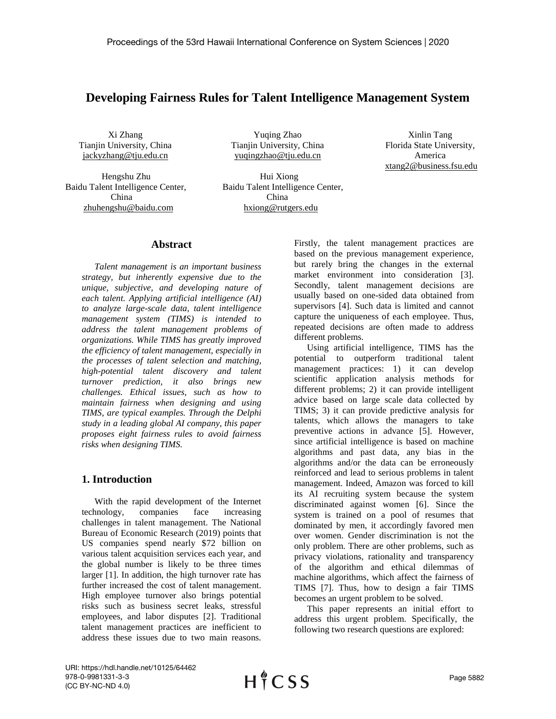# **Developing Fairness Rules for Talent Intelligence Management System**

Xi Zhang Tianjin University, China jackyzhang@tju.edu.cn

Hengshu Zhu Hui Xiong Baidu Talent Intelligence Center, Baidu Talent Intelligence Center, China China [zhuhengshu@baidu.com](mailto:zhuhengshu@baidu.com) hxiong@rutgers.edu

Yuqing Zhao Tianjin University, China yuqingzhao@tju.edu.cn

Xinlin Tang [Florida State University,](http://www.so.com/link?m=a6%2FtHeRK4t5GJQ7qmbAKsbrW%2BF3ldiVlQbmFol80l31uS0mMUjbwTVvlQTlDM1ypTAv6jAVoQpq7gT%2Bioni7qTN5E1xxzOMB0gAesmBtYLIZ9uD%2BWLPsdhMXTEsxhWuSz9FU3Vz49DcqJQDATaJKMAAGUG4muACoa) America xtang2@business.fsu.edu

#### **Abstract**

*Talent management is an important business strategy, but inherently expensive due to the unique, subjective, and developing nature of each talent. Applying artificial intelligence (AI) to analyze large-scale data, talent intelligence management system (TIMS) is intended to address the talent management problems of organizations. While TIMS has greatly improved the efficiency of talent management, especially in the processes of talent selection and matching, high-potential talent discovery and talent turnover prediction, it also brings new challenges. Ethical issues, such as how to maintain fairness when designing and using TIMS, are typical examples. Through the Delphi study in a leading global AI company, this paper proposes eight fairness rules to avoid fairness risks when designing TIMS.* 

## **1. Introduction**

With the rapid development of the Internet technology, companies face increasing challenges in talent management. The National Bureau of Economic Research (2019) points that US companies spend nearly \$72 billion on various talent acquisition services each year, and the global number is likely to be three times larger [1]. In addition, the high turnover rate has further increased the cost of talent management. High employee turnover also brings potential risks such as business secret leaks, stressful employees, and labor disputes [2]. Traditional talent management practices are inefficient to address these issues due to two main reasons.

Firstly, the talent management practices are based on the previous management experience, but rarely bring the changes in the external market environment into consideration [3]. Secondly, talent management decisions are usually based on one-sided data obtained from supervisors [4]. Such data is limited and cannot capture the uniqueness of each employee. Thus, repeated decisions are often made to address different problems.

Using artificial intelligence, TIMS has the potential to outperform traditional talent management practices: 1) it can develop scientific application analysis methods for different problems; 2) it can provide intelligent advice based on large scale data collected by TIMS; 3) it can provide predictive analysis for talents, which allows the managers to take preventive actions in advance [5]. However, since artificial intelligence is based on machine algorithms and past data, any bias in the algorithms and/or the data can be erroneously reinforced and lead to serious problems in talent management. Indeed, Amazon was forced to kill its AI recruiting system because the system discriminated against women [6]. Since the system is trained on a pool of resumes that dominated by men, it accordingly favored men over women. Gender discrimination is not the only problem. There are other problems, such as privacy violations, rationality and transparency of the algorithm and ethical dilemmas of machine algorithms, which affect the fairness of TIMS [7]. Thus, how to design a fair TIMS becomes an urgent problem to be solved.

This paper represents an initial effort to address this urgent problem. Specifically, the following two research questions are explored:

URI: https://hdl.handle.net/10125/64462 978-0-9981331-3-3 (CC BY-NC-ND 4.0)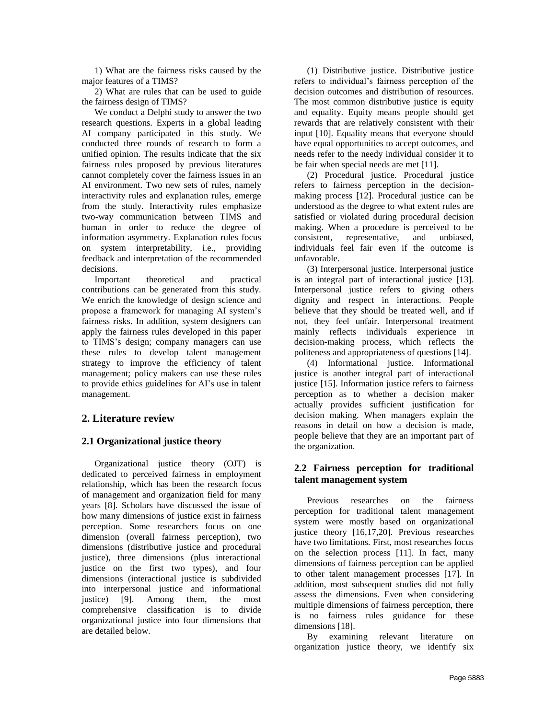1) What are the fairness risks caused by the major features of a TIMS?

2) What are rules that can be used to guide the fairness design of TIMS?

We conduct a Delphi study to answer the two research questions. Experts in a global leading AI company participated in this study. We conducted three rounds of research to form a unified opinion. The results indicate that the six fairness rules proposed by previous literatures cannot completely cover the fairness issues in an AI environment. Two new sets of rules, namely interactivity rules and explanation rules, emerge from the study. Interactivity rules emphasize two-way communication between TIMS and human in order to reduce the degree of information asymmetry. Explanation rules focus on system interpretability, i.e., providing feedback and interpretation of the recommended decisions.

Important theoretical and practical contributions can be generated from this study. We enrich the knowledge of design science and propose a framework for managing AI system's fairness risks. In addition, system designers can apply the fairness rules developed in this paper to TIMS's design; company managers can use these rules to develop talent management strategy to improve the efficiency of talent management; policy makers can use these rules to provide ethics guidelines for AI's use in talent management.

# **2. Literature review**

# **2.1 Organizational justice theory**

Organizational justice theory (OJT) is dedicated to perceived fairness in employment relationship, which has been the research focus of management and organization field for many years [8]. Scholars have discussed the issue of how many dimensions of justice exist in fairness perception. Some researchers focus on one dimension (overall fairness perception), two dimensions (distributive justice and procedural justice), three dimensions (plus interactional justice on the first two types), and four dimensions (interactional justice is subdivided into interpersonal justice and informational justice) [9]. Among them, the most comprehensive classification is to divide organizational justice into four dimensions that are detailed below.

(1) Distributive justice. Distributive justice refers to individual's fairness perception of the decision outcomes and distribution of resources. The most common distributive justice is equity and equality. Equity means people should get rewards that are relatively consistent with their input [10]. Equality means that everyone should have equal opportunities to accept outcomes, and needs refer to the needy individual consider it to be fair when special needs are met [11].

(2) Procedural justice. Procedural justice refers to fairness perception in the decisionmaking process [12]. Procedural justice can be understood as the degree to what extent rules are satisfied or violated during procedural decision making. When a procedure is perceived to be consistent, representative, and unbiased, individuals feel fair even if the outcome is unfavorable.

(3) Interpersonal justice. Interpersonal justice is an integral part of interactional justice [13]. Interpersonal justice refers to giving others dignity and respect in interactions. People believe that they should be treated well, and if not, they feel unfair. Interpersonal treatment mainly reflects individuals experience in decision-making process, which reflects the politeness and appropriateness of questions [14].

(4) Informational justice. Informational justice is another integral part of interactional justice [15]. Information justice refers to fairness perception as to whether a decision maker actually provides sufficient justification for decision making. When managers explain the reasons in detail on how a decision is made, people believe that they are an important part of the organization.

# **2.2 Fairness perception for traditional talent management system**

Previous researches on the fairness perception for traditional talent management system were mostly based on organizational justice theory [16,17,20]. Previous researches have two limitations. First, most researches focus on the selection process [11]. In fact, many dimensions of fairness perception can be applied to other talent management processes [17]. In addition, most subsequent studies did not fully assess the dimensions. Even when considering multiple dimensions of fairness perception, there is no fairness rules guidance for these dimensions [18].

By examining relevant literature on organization justice theory, we identify six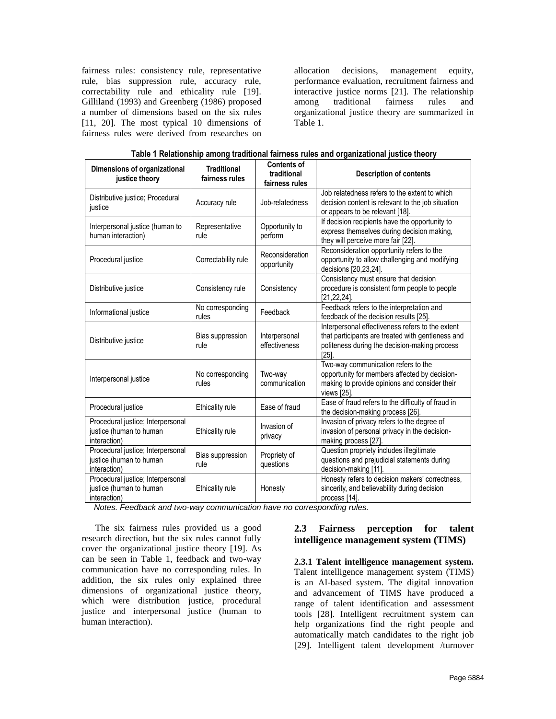fairness rules: consistency rule, representative rule, bias suppression rule, accuracy rule, correctability rule and ethicality rule [19]. Gilliland (1993) and Greenberg (1986) proposed a number of dimensions based on the six rules [11, 20]. The most typical 10 dimensions of fairness rules were derived from researches on

allocation decisions, management equity, performance evaluation, recruitment fairness and interactive justice norms [21]. The relationship among traditional fairness rules and organizational justice theory are summarized in Table 1.

| Dimensions of organizational<br>justice theory                               | <b>Traditional</b><br>fairness rules | <b>Contents of</b><br>traditional<br>fairness rules | <b>Description of contents</b>                                                                                                                                 |
|------------------------------------------------------------------------------|--------------------------------------|-----------------------------------------------------|----------------------------------------------------------------------------------------------------------------------------------------------------------------|
| Distributive justice; Procedural<br>justice                                  | Accuracy rule                        | Job-relatedness                                     | Job relatedness refers to the extent to which<br>decision content is relevant to the job situation<br>or appears to be relevant [18].                          |
| Interpersonal justice (human to<br>human interaction)                        | Representative<br>rule               | Opportunity to<br>perform                           | If decision recipients have the opportunity to<br>express themselves during decision making,<br>they will perceive more fair [22].                             |
| Procedural justice                                                           | Correctability rule                  | Reconsideration<br>opportunity                      | Reconsideration opportunity refers to the<br>opportunity to allow challenging and modifying<br>decisions [20,23,24].                                           |
| Distributive justice                                                         | Consistency rule                     | Consistency                                         | Consistency must ensure that decision<br>procedure is consistent form people to people<br>$[21, 22, 24]$ .                                                     |
| Informational justice                                                        | No corresponding<br>rules            | Feedback                                            | Feedback refers to the interpretation and<br>feedback of the decision results [25].                                                                            |
| Distributive justice                                                         | Bias suppression<br>rule             | Interpersonal<br>effectiveness                      | Interpersonal effectiveness refers to the extent<br>that participants are treated with gentleness and<br>politeness during the decision-making process<br>[25] |
| Interpersonal justice                                                        | No corresponding<br>rules            | Two-way<br>communication                            | Two-way communication refers to the<br>opportunity for members affected by decision-<br>making to provide opinions and consider their<br>views [25].           |
| Procedural justice                                                           | Ethicality rule                      | Ease of fraud                                       | Ease of fraud refers to the difficulty of fraud in<br>the decision-making process [26].                                                                        |
| Procedural justice; Interpersonal<br>justice (human to human<br>interaction) | Ethicality rule                      | Invasion of<br>privacy                              | Invasion of privacy refers to the degree of<br>invasion of personal privacy in the decision-<br>making process [27]                                            |
| Procedural justice; Interpersonal<br>justice (human to human<br>interaction) | Bias suppression<br>rule             | Propriety of<br>questions                           | Question propriety includes illegitimate<br>questions and prejudicial statements during<br>decision-making [11].                                               |
| Procedural justice; Interpersonal<br>justice (human to human<br>interaction) | <b>Ethicality rule</b>               | Honesty                                             | Honesty refers to decision makers' correctness,<br>sincerity, and believability during decision<br>process [14].                                               |

**Table 1 Relationship among traditional fairness rules and organizational justice theory**

*Notes. Feedback and two-way communication have no corresponding rules.*

The six fairness rules provided us a good research direction, but the six rules cannot fully cover the organizational justice theory [19]. As can be seen in Table 1, feedback and two-way communication have no corresponding rules. In addition, the six rules only explained three dimensions of organizational justice theory, which were distribution justice, procedural justice and interpersonal justice (human to human interaction).

# **2.3 Fairness perception for talent intelligence management system (TIMS)**

**2.3.1 Talent intelligence management system.** Talent intelligence management system (TIMS) is an AI-based system. The digital innovation and advancement of TIMS have produced a range of talent identification and assessment tools [28]. Intelligent recruitment system can help organizations find the right people and automatically match candidates to the right job [29]. Intelligent talent development /turnover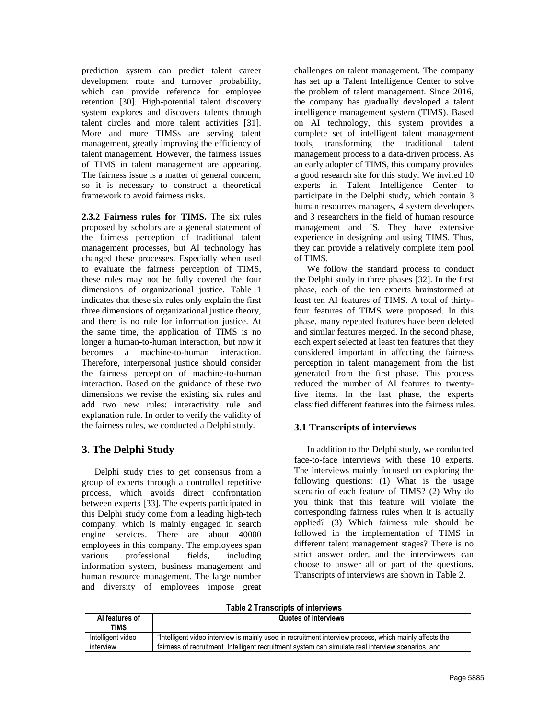prediction system can predict talent career development route and turnover probability, which can provide reference for employee retention [30]. High-potential talent discovery system explores and discovers talents through talent circles and more talent activities [31]. More and more TIMSs are serving talent management, greatly improving the efficiency of talent management. However, the fairness issues of TIMS in talent management are appearing. The fairness issue is a matter of general concern, so it is necessary to construct a theoretical framework to avoid fairness risks.

**2.3.2 Fairness rules for TIMS.** The six rules proposed by scholars are a general statement of the fairness perception of traditional talent management processes, but AI technology has changed these processes. Especially when used to evaluate the fairness perception of TIMS, these rules may not be fully covered the four dimensions of organizational justice. Table 1 indicates that these six rules only explain the first three dimensions of organizational justice theory, and there is no rule for information justice. At the same time, the application of TIMS is no longer a human-to-human interaction, but now it becomes a machine-to-human interaction. Therefore, interpersonal justice should consider the fairness perception of machine-to-human interaction. Based on the guidance of these two dimensions we revise the existing six rules and add two new rules: interactivity rule and explanation rule. In order to verify the validity of the fairness rules, we conducted a Delphi study.

# **3. The Delphi Study**

Delphi study tries to get consensus from a group of experts through a controlled repetitive process, which avoids direct confrontation between experts [33]. The experts participated in this Delphi study come from a leading high-tech company, which is mainly engaged in search engine services. There are about 40000 employees in this company. The employees span various professional fields, including information system, business management and human resource management. The large number and diversity of employees impose great challenges on talent management. The company has set up a Talent Intelligence Center to solve the problem of talent management. Since 2016, the company has gradually developed a talent intelligence management system (TIMS). Based on AI technology, this system provides a complete set of intelligent talent management tools, transforming the traditional talent management process to a data-driven process. As an early adopter of TIMS, this company provides a good research site for this study. We invited 10 experts in Talent Intelligence Center to participate in the Delphi study, which contain 3 human resources managers, 4 system developers and 3 researchers in the field of human resource management and IS. They have extensive experience in designing and using TIMS. Thus, they can provide a relatively complete item pool of TIMS.

We follow the standard process to conduct the Delphi study in three phases [32]. In the first phase, each of the ten experts brainstormed at least ten AI features of TIMS. A total of thirtyfour features of TIMS were proposed. In this phase, many repeated features have been deleted and similar features merged. In the second phase, each expert selected at least ten features that they considered important in affecting the fairness perception in talent management from the list generated from the first phase. This process reduced the number of AI features to twentyfive items. In the last phase, the experts classified different features into the fairness rules.

# **3.1 Transcripts of interviews**

In addition to the Delphi study, we conducted face-to-face interviews with these 10 experts. The interviews mainly focused on exploring the following questions: (1) What is the usage scenario of each feature of TIMS? (2) Why do you think that this feature will violate the corresponding fairness rules when it is actually applied? (3) Which fairness rule should be followed in the implementation of TIMS in different talent management stages? There is no strict answer order, and the interviewees can choose to answer all or part of the questions. Transcripts of interviews are shown in Table 2.

**Table 2 Transcripts of interviews**

| Al features of<br><b>TIMS</b> | Quotes of interviews                                                                                   |
|-------------------------------|--------------------------------------------------------------------------------------------------------|
| Intelligent video             | "Intelligent video interview is mainly used in recruitment interview process, which mainly affects the |
| interview                     | fairness of recruitment. Intelligent recruitment system can simulate real interview scenarios, and     |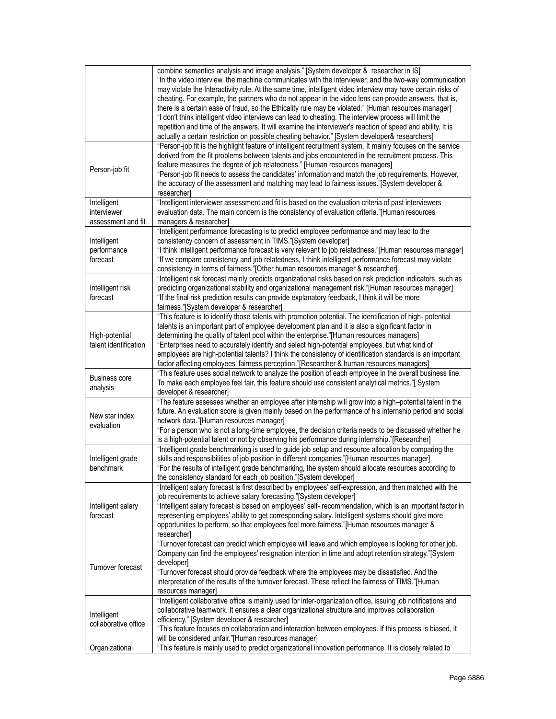|                                                  | combine semantics analysis and image analysis." [System developer & researcher in IS]<br>"In the video interview, the machine communicates with the interviewer, and the two-way communication<br>may violate the Interactivity rule. At the same time, intelligent video interview may have certain risks of<br>cheating. For example, the partners who do not appear in the video lens can provide answers, that is,<br>there is a certain ease of fraud, so the Ethicality rule may be violated." [Human resources manager]<br>"I don't think intelligent video interviews can lead to cheating. The interview process will limit the<br>repetition and time of the answers. It will examine the interviewer's reaction of speed and ability. It is<br>actually a certain restriction on possible cheating behavior." [System developer& researchers] |
|--------------------------------------------------|----------------------------------------------------------------------------------------------------------------------------------------------------------------------------------------------------------------------------------------------------------------------------------------------------------------------------------------------------------------------------------------------------------------------------------------------------------------------------------------------------------------------------------------------------------------------------------------------------------------------------------------------------------------------------------------------------------------------------------------------------------------------------------------------------------------------------------------------------------|
| Person-job fit                                   | "Person-job fit is the highlight feature of intelligent recruitment system. It mainly focuses on the service<br>derived from the fit problems between talents and jobs encountered in the recruitment process. This<br>feature measures the degree of job relatedness." [Human resources managers]<br>"Person-job fit needs to assess the candidates' information and match the job requirements. However,<br>the accuracy of the assessment and matching may lead to fairness issues."[System developer &<br>researcher]                                                                                                                                                                                                                                                                                                                                |
| Intelligent<br>interviewer<br>assessment and fit | "Intelligent interviewer assessment and fit is based on the evaluation criteria of past interviewers<br>evaluation data. The main concern is the consistency of evaluation criteria."[Human resources<br>managers & researcher]                                                                                                                                                                                                                                                                                                                                                                                                                                                                                                                                                                                                                          |
| Intelligent<br>performance<br>forecast           | "Intelligent performance forecasting is to predict employee performance and may lead to the<br>consistency concern of assessment in TIMS."[System developer]<br>"I think intelligent performance forecast is very relevant to job relatedness."[Human resources manager]<br>"If we compare consistency and job relatedness, I think intelligent performance forecast may violate<br>consistency in terms of fairness."[Other human resources manager & researcher]                                                                                                                                                                                                                                                                                                                                                                                       |
| Intelligent risk<br>forecast                     | "Intelligent risk forecast mainly predicts organizational risks based on risk prediction indicators, such as<br>predicting organizational stability and organizational management risk."[Human resources manager]<br>"If the final risk prediction results can provide explanatory feedback, I think it will be more<br>fairness."[System developer & researcher]                                                                                                                                                                                                                                                                                                                                                                                                                                                                                        |
| High-potential<br>talent identification          | "This feature is to identify those talents with promotion potential. The identification of high-potential<br>talents is an important part of employee development plan and it is also a significant factor in<br>determining the quality of talent pool within the enterprise."[Human resources managers]<br>"Enterprises need to accurately identify and select high-potential employees, but what kind of<br>employees are high-potential talents? I think the consistency of identification standards is an important<br>factor affecting employees' fairness perception."[Researcher & human resources managers]                                                                                                                                                                                                                                     |
| <b>Business core</b><br>analysis                 | "This feature uses social network to analyze the position of each employee in the overall business line.<br>To make each employee feel fair, this feature should use consistent analytical metrics."[System<br>developer & researcher]                                                                                                                                                                                                                                                                                                                                                                                                                                                                                                                                                                                                                   |
| New star index<br>evaluation                     | "The feature assesses whether an employee after internship will grow into a high-potential talent in the<br>future. An evaluation score is given mainly based on the performance of his internship period and social<br>network data."[Human resources manager]<br>"For a person who is not a long-time employee, the decision criteria needs to be discussed whether he<br>is a high-potential talent or not by observing his performance during internship."[Researcher]                                                                                                                                                                                                                                                                                                                                                                               |
| Intelligent grade<br>benchmark                   | "Intelligent grade benchmarking is used to guide job setup and resource allocation by comparing the<br>skills and responsibilities of job position in different companies."[Human resources manager]<br>"For the results of intelligent grade benchmarking, the system should allocate resources according to<br>the consistency standard for each job position."[System developer]                                                                                                                                                                                                                                                                                                                                                                                                                                                                      |
| Intelligent salary<br>forecast                   | "Intelligent salary forecast is first described by employees' self-expression, and then matched with the<br>job requirements to achieve salary forecasting."[System developer]<br>"Intelligent salary forecast is based on employees' self- recommendation, which is an important factor in<br>representing employees' ability to get corresponding salary. Intelligent systems should give more<br>opportunities to perform, so that employees feel more fairness."[Human resources manager &<br>researcher]                                                                                                                                                                                                                                                                                                                                            |
| Turnover forecast                                | "Turnover forecast can predict which employee will leave and which employee is looking for other job.<br>Company can find the employees' resignation intention in time and adopt retention strategy."[System<br>developer]<br>"Turnover forecast should provide feedback where the employees may be dissatisfied. And the<br>interpretation of the results of the turnover forecast. These reflect the fairness of TIMS."[Human<br>resources manager]                                                                                                                                                                                                                                                                                                                                                                                                    |
| Intelligent<br>collaborative office              | "Intelligent collaborative office is mainly used for inter-organization office, issuing job notifications and<br>collaborative teamwork. It ensures a clear organizational structure and improves collaboration<br>efficiency." [System developer & researcher]<br>"This feature focuses on collaboration and interaction between employees. If this process is biased, it<br>will be considered unfair."[Human resources manager]                                                                                                                                                                                                                                                                                                                                                                                                                       |
| Organizational                                   | "This feature is mainly used to predict organizational innovation performance. It is closely related to                                                                                                                                                                                                                                                                                                                                                                                                                                                                                                                                                                                                                                                                                                                                                  |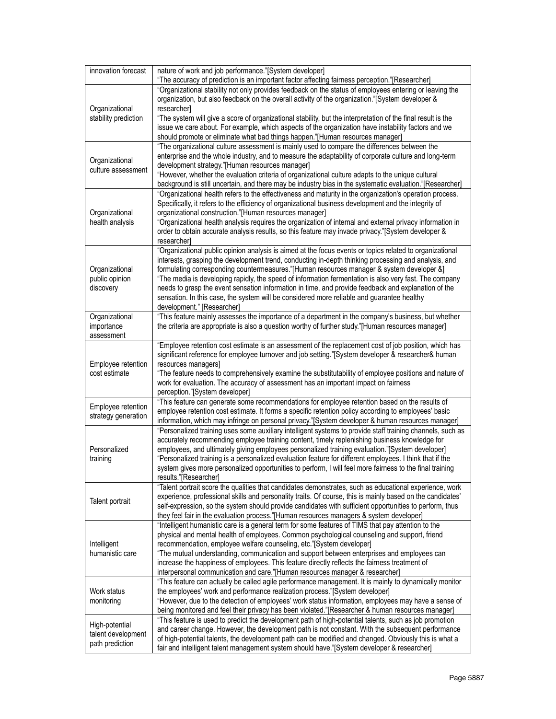| innovation forecast                  | nature of work and job performance."[System developer]<br>"The accuracy of prediction is an important factor affecting fairness perception."[Researcher]                                                             |
|--------------------------------------|----------------------------------------------------------------------------------------------------------------------------------------------------------------------------------------------------------------------|
|                                      | "Organizational stability not only provides feedback on the status of employees entering or leaving the                                                                                                              |
|                                      | organization, but also feedback on the overall activity of the organization."[System developer &                                                                                                                     |
| Organizational                       | researcher]                                                                                                                                                                                                          |
| stability prediction                 | "The system will give a score of organizational stability, but the interpretation of the final result is the                                                                                                         |
|                                      | issue we care about. For example, which aspects of the organization have instability factors and we<br>should promote or eliminate what bad things happen."[Human resources manager]                                 |
|                                      | "The organizational culture assessment is mainly used to compare the differences between the                                                                                                                         |
|                                      | enterprise and the whole industry, and to measure the adaptability of corporate culture and long-term                                                                                                                |
| Organizational<br>culture assessment | development strategy."[Human resources manager]                                                                                                                                                                      |
|                                      | "However, whether the evaluation criteria of organizational culture adapts to the unique cultural                                                                                                                    |
|                                      | background is still uncertain, and there may be industry bias in the systematic evaluation."[Researcher]<br>"Organizational health refers to the effectiveness and maturity in the organization's operation process. |
|                                      | Specifically, it refers to the efficiency of organizational business development and the integrity of                                                                                                                |
| Organizational                       | organizational construction."[Human resources manager]                                                                                                                                                               |
| health analysis                      | "Organizational health analysis requires the organization of internal and external privacy information in                                                                                                            |
|                                      | order to obtain accurate analysis results, so this feature may invade privacy."[System developer &                                                                                                                   |
|                                      | researcher                                                                                                                                                                                                           |
|                                      | "Organizational public opinion analysis is aimed at the focus events or topics related to organizational<br>interests, grasping the development trend, conducting in-depth thinking processing and analysis, and     |
| Organizational                       | formulating corresponding countermeasures."[Human resources manager & system developer &]                                                                                                                            |
| public opinion                       | "The media is developing rapidly, the speed of information fermentation is also very fast. The company                                                                                                               |
| discovery                            | needs to grasp the event sensation information in time, and provide feedback and explanation of the                                                                                                                  |
|                                      | sensation. In this case, the system will be considered more reliable and guarantee healthy                                                                                                                           |
|                                      | development." [Researcher]                                                                                                                                                                                           |
| Organizational<br>importance         | "This feature mainly assesses the importance of a department in the company's business, but whether<br>the criteria are appropriate is also a question worthy of further study."[Human resources manager]            |
| assessment                           |                                                                                                                                                                                                                      |
|                                      | "Employee retention cost estimate is an assessment of the replacement cost of job position, which has                                                                                                                |
|                                      | significant reference for employee turnover and job setting."[System developer & researcher& human                                                                                                                   |
| Employee retention                   | resources managers]                                                                                                                                                                                                  |
| cost estimate                        | "The feature needs to comprehensively examine the substitutability of employee positions and nature of                                                                                                               |
|                                      | work for evaluation. The accuracy of assessment has an important impact on fairness<br>perception."[System developer]                                                                                                |
|                                      | "This feature can generate some recommendations for employee retention based on the results of                                                                                                                       |
| Employee retention                   | employee retention cost estimate. It forms a specific retention policy according to employees' basic                                                                                                                 |
| strategy generation                  | information, which may infringe on personal privacy."[System developer & human resources manager]                                                                                                                    |
|                                      | "Personalized training uses some auxiliary intelligent systems to provide staff training channels, such as                                                                                                           |
|                                      | accurately recommending employee training content, timely replenishing business knowledge for                                                                                                                        |
| Personalized<br>training             | employees, and ultimately giving employees personalized training evaluation."[System developer]<br>"Personalized training is a personalized evaluation feature for different employees. I think that if the          |
|                                      | system gives more personalized opportunities to perform, I will feel more fairness to the final training                                                                                                             |
|                                      | results."[Researcher]                                                                                                                                                                                                |
|                                      | "Talent portrait score the qualities that candidates demonstrates, such as educational experience, work                                                                                                              |
| Talent portrait                      | experience, professional skills and personality traits. Of course, this is mainly based on the candidates'                                                                                                           |
|                                      | self-expression, so the system should provide candidates with sufficient opportunities to perform, thus<br>they feel fair in the evaluation process."[Human resources managers & system developer]                   |
|                                      | "Intelligent humanistic care is a general term for some features of TIMS that pay attention to the                                                                                                                   |
| Intelligent                          | physical and mental health of employees. Common psychological counseling and support, friend                                                                                                                         |
|                                      | recommendation, employee welfare counseling, etc."[System developer]                                                                                                                                                 |
| humanistic care                      | "The mutual understanding, communication and support between enterprises and employees can                                                                                                                           |
|                                      | increase the happiness of employees. This feature directly reflects the fairness treatment of                                                                                                                        |
|                                      | interpersonal communication and care."[Human resources manager & researcher]<br>"This feature can actually be called agile performance management. It is mainly to dynamically monitor                               |
| Work status<br>monitoring            | the employees' work and performance realization process."[System developer]                                                                                                                                          |
|                                      | "However, due to the detection of employees' work status information, employees may have a sense of                                                                                                                  |
|                                      | being monitored and feel their privacy has been violated."[Researcher & human resources manager]                                                                                                                     |
| High-potential                       | "This feature is used to predict the development path of high-potential talents, such as job promotion                                                                                                               |
| talent development                   | and career change. However, the development path is not constant. With the subsequent performance<br>of high-potential talents, the development path can be modified and changed. Obviously this is what a           |
| path prediction                      | fair and intelligent talent management system should have."[System developer & researcher]                                                                                                                           |
|                                      |                                                                                                                                                                                                                      |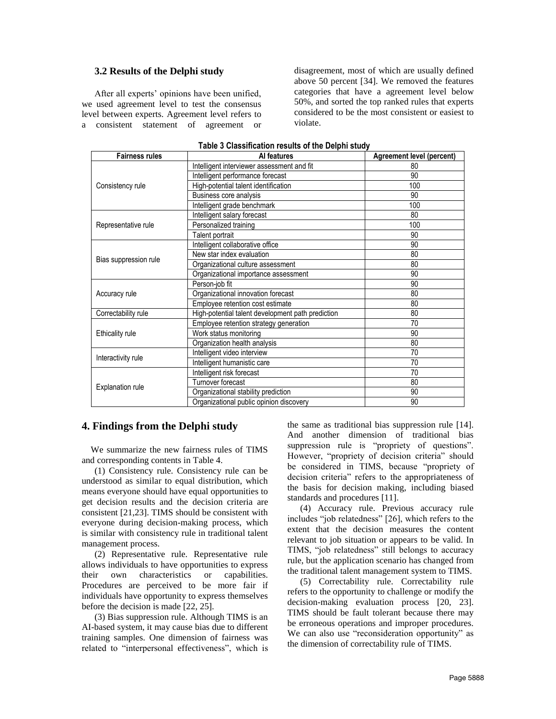#### **3.2 Results of the Delphi study**

After all experts' opinions have been unified, we used agreement level to test the consensus level between experts. Agreement level refers to a consistent statement of agreement or disagreement, most of which are usually defined above 50 percent [34]. We removed the features categories that have a agreement level below 50%, and sorted the top ranked rules that experts considered to be the most consistent or easiest to violate.

| <b>Fairness rules</b>   | Al features                                       | <b>Agreement level (percent)</b> |
|-------------------------|---------------------------------------------------|----------------------------------|
| Consistency rule        | Intelligent interviewer assessment and fit        | 80                               |
|                         | Intelligent performance forecast                  | 90                               |
|                         | High-potential talent identification              | 100                              |
|                         | Business core analysis                            | 90                               |
|                         | Intelligent grade benchmark                       | 100                              |
|                         | Intelligent salary forecast                       | 80                               |
| Representative rule     | Personalized training                             | 100                              |
|                         | Talent portrait                                   | 90                               |
|                         | Intelligent collaborative office                  | 90                               |
|                         | New star index evaluation                         | 80                               |
| Bias suppression rule   | Organizational culture assessment                 | 80                               |
|                         | Organizational importance assessment              | 90                               |
| Accuracy rule           | Person-job fit                                    | 90                               |
|                         | Organizational innovation forecast                | 80                               |
|                         | Employee retention cost estimate                  | 80                               |
| Correctability rule     | High-potential talent development path prediction | 80                               |
| <b>Ethicality rule</b>  | Employee retention strategy generation            | 70                               |
|                         | Work status monitoring                            | 90                               |
|                         | Organization health analysis                      | 80                               |
| Interactivity rule      | Intelligent video interview                       | 70                               |
|                         | Intelligent humanistic care                       | 70                               |
| <b>Explanation rule</b> | Intelligent risk forecast                         | 70                               |
|                         | Turnover forecast                                 | 80                               |
|                         | Organizational stability prediction               | 90                               |
|                         | Organizational public opinion discovery           | 90                               |

#### **Table 3 Classification results of the Delphi study**

## **4. Findings from the Delphi study**

We summarize the new fairness rules of TIMS and corresponding contents in Table 4.

(1) Consistency rule. Consistency rule can be understood as similar to equal distribution, which means everyone should have equal opportunities to get decision results and the decision criteria are consistent [21,23]. TIMS should be consistent with everyone during decision-making process, which is similar with consistency rule in traditional talent management process.

(2) Representative rule. Representative rule allows individuals to have opportunities to express their own characteristics or capabilities. Procedures are perceived to be more fair if individuals have opportunity to express themselves before the decision is made [22, 25].

(3) Bias suppression rule. Although TIMS is an AI-based system, it may cause bias due to different training samples. One dimension of fairness was related to "interpersonal effectiveness", which is

the same as traditional bias suppression rule [14]. And another dimension of traditional bias suppression rule is "propriety of questions". However, "propriety of decision criteria" should be considered in TIMS, because "propriety of decision criteria" refers to the appropriateness of the basis for decision making, including biased standards and procedures [11].

(4) Accuracy rule. Previous accuracy rule includes "job relatedness" [26], which refers to the extent that the decision measures the content relevant to job situation or appears to be valid. In TIMS, "job relatedness" still belongs to accuracy rule, but the application scenario has changed from the traditional talent management system to TIMS.

(5) Correctability rule. Correctability rule refers to the opportunity to challenge or modify the decision-making evaluation process [20, 23]. TIMS should be fault tolerant because there may be erroneous operations and improper procedures. We can also use "reconsideration opportunity" as the dimension of correctability rule of TIMS.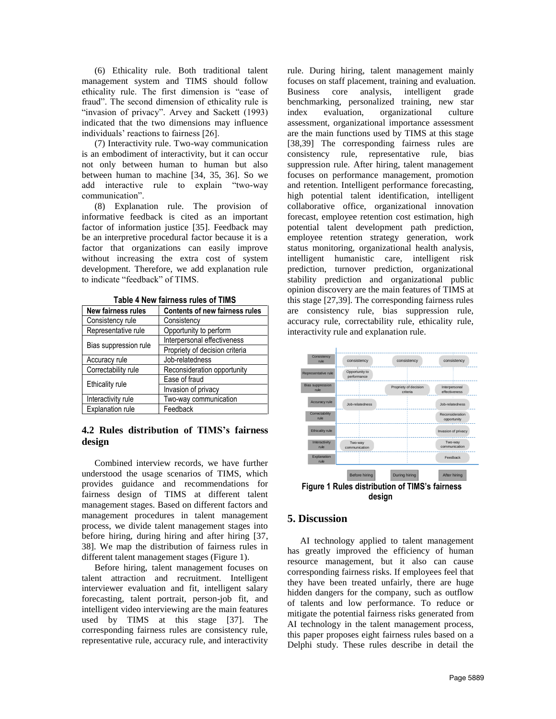(6) Ethicality rule. Both traditional talent management system and TIMS should follow ethicality rule. The first dimension is "ease of fraud". The second dimension of ethicality rule is "invasion of privacy". Arvey and Sackett (1993) indicated that the two dimensions may influence individuals' reactions to fairness [26].

(7) Interactivity rule. Two-way communication is an embodiment of interactivity, but it can occur not only between human to human but also between human to machine [34, 35, 36]. So we add interactive rule to explain "two-way communication".

(8) Explanation rule. The provision of informative feedback is cited as an important factor of information justice [35]. Feedback may be an interpretive procedural factor because it is a factor that organizations can easily improve without increasing the extra cost of system development. Therefore, we add explanation rule to indicate "feedback" of TIMS.

| <b>New fairness rules</b> | <b>Contents of new fairness rules</b> |  |
|---------------------------|---------------------------------------|--|
| Consistency rule          | Consistency                           |  |
| Representative rule       | Opportunity to perform                |  |
|                           | Interpersonal effectiveness           |  |
| Bias suppression rule     | Propriety of decision criteria        |  |
| Accuracy rule             | Job-relatedness                       |  |
| Correctability rule       | Reconsideration opportunity           |  |
| Ethicality rule           | Ease of fraud                         |  |
|                           | Invasion of privacy                   |  |
| Interactivity rule        | Two-way communication                 |  |
| <b>Explanation rule</b>   | Feedback                              |  |

**Table 4 New fairness rules of TIMS**

# **4.2 Rules distribution of TIMS's fairness design**

Combined interview records, we have further understood the usage scenarios of TIMS, which provides guidance and recommendations for fairness design of TIMS at different talent management stages. Based on different factors and management procedures in talent management process, we divide talent management stages into before hiring, during hiring and after hiring [37, 38]. We map the distribution of fairness rules in different talent management stages (Figure 1).

Before hiring, talent management focuses on talent attraction and recruitment. Intelligent interviewer evaluation and fit, intelligent salary forecasting, talent portrait, person-job fit, and intelligent video interviewing are the main features used by TIMS at this stage [37]. The corresponding fairness rules are consistency rule, representative rule, accuracy rule, and interactivity rule. During hiring, talent management mainly focuses on staff placement, training and evaluation. Business core analysis, intelligent grade benchmarking, personalized training, new star index evaluation, organizational culture assessment, organizational importance assessment are the main functions used by TIMS at this stage [38,39] The corresponding fairness rules are consistency rule, representative rule, bias suppression rule. After hiring, talent management focuses on performance management, promotion and retention. Intelligent performance forecasting, high potential talent identification, intelligent collaborative office, organizational innovation forecast, employee retention cost estimation, high potential talent development path prediction, employee retention strategy generation, work status monitoring, organizational health analysis, intelligent humanistic care, intelligent risk prediction, turnover prediction, organizational stability prediction and organizational public opinion discovery are the main features of TIMS at this stage [27,39]. The corresponding fairness rules are consistency rule, bias suppression rule, accuracy rule, correctability rule, ethicality rule, interactivity rule and explanation rule.



## **5. Discussion**

AI technology applied to talent management has greatly improved the efficiency of human resource management, but it also can cause corresponding fairness risks. If employees feel that they have been treated unfairly, there are huge hidden dangers for the company, such as outflow of talents and low performance. To reduce or mitigate the potential fairness risks generated from AI technology in the talent management process, this paper proposes eight fairness rules based on a Delphi study. These rules describe in detail the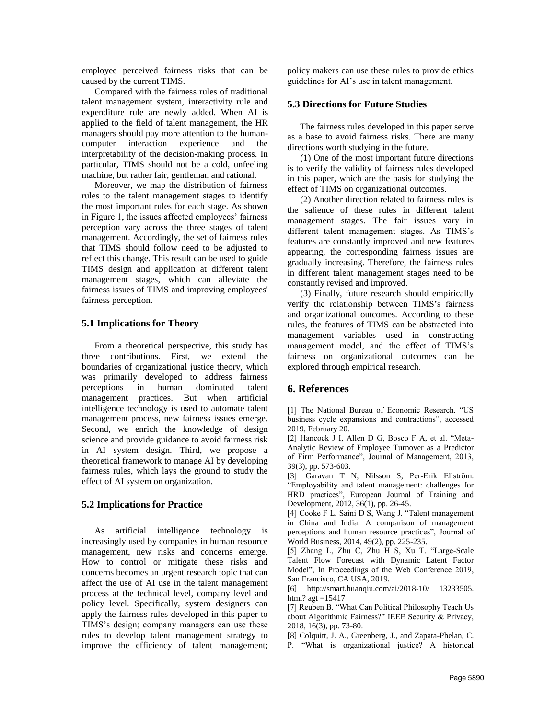employee perceived fairness risks that can be caused by the current TIMS.

Compared with the fairness rules of traditional talent management system, interactivity rule and expenditure rule are newly added. When AI is applied to the field of talent management, the HR managers should pay more attention to the humancomputer interaction experience and the interpretability of the decision-making process. In particular, TIMS should not be a cold, unfeeling machine, but rather fair, gentleman and rational.

Moreover, we map the distribution of fairness rules to the talent management stages to identify the most important rules for each stage. As shown in Figure 1, the issues affected employees' fairness perception vary across the three stages of talent management. Accordingly, the set of fairness rules that TIMS should follow need to be adjusted to reflect this change. This result can be used to guide TIMS design and application at different talent management stages, which can alleviate the fairness issues of TIMS and improving employees' fairness perception.

## **5.1 Implications for Theory**

From a theoretical perspective, this study has three contributions. First, we extend the boundaries of organizational justice theory, which was primarily developed to address fairness perceptions in human dominated talent management practices. But when artificial intelligence technology is used to automate talent management process, new fairness issues emerge. Second, we enrich the knowledge of design science and provide guidance to avoid fairness risk in AI system design. Third, we propose a theoretical framework to manage AI by developing fairness rules, which lays the ground to study the effect of AI system on organization.

## **5.2 Implications for Practice**

As artificial intelligence technology is increasingly used by companies in human resource management, new risks and concerns emerge. How to control or mitigate these risks and concerns becomes an urgent research topic that can affect the use of AI use in the talent management process at the technical level, company level and policy level. Specifically, system designers can apply the fairness rules developed in this paper to TIMS's design; company managers can use these rules to develop talent management strategy to improve the efficiency of talent management; policy makers can use these rules to provide ethics guidelines for AI's use in talent management.

#### **5.3 Directions for Future Studies**

The fairness rules developed in this paper serve as a base to avoid fairness risks. There are many directions worth studying in the future.

(1) One of the most important future directions is to verify the validity of fairness rules developed in this paper, which are the basis for studying the effect of TIMS on organizational outcomes.

(2) Another direction related to fairness rules is the salience of these rules in different talent management stages. The fair issues vary in different talent management stages. As TIMS's features are constantly improved and new features appearing, the corresponding fairness issues are gradually increasing. Therefore, the fairness rules in different talent management stages need to be constantly revised and improved.

(3) Finally, future research should empirically verify the relationship between TIMS's fairness and organizational outcomes. According to these rules, the features of TIMS can be abstracted into management variables used in constructing management model, and the effect of TIMS's fairness on organizational outcomes can be explored through empirical research.

# **6. References**

[1] The National Bureau of Economic Research. "US business cycle expansions and contractions", accessed 2019, February 20.

[2] Hancock J I, Allen D G, Bosco F A, et al. "Meta-Analytic Review of Employee Turnover as a Predictor of Firm Performance", Journal of Management, 2013, 39(3), pp. 573-603.

[3] Garavan T N, Nilsson S, [Per‐Erik Ellström.](https://www.emeraldinsight.com/author/Ellstr%C3%B6m%2C+Per-Erik)  "Employability and talent management: challenges for HRD practices", European Journal of Training and Development, 2012, 36(1), pp. 26-45.

[4] Cooke F L, Saini D S, Wang J. "Talent management in China and India: A comparison of management perceptions and human resource practices", Journal of World Business, 2014, 49(2), pp. 225-235.

[5] Zhang L, Zhu C, Zhu H S, Xu T. "Large-Scale Talent Flow Forecast with Dynamic Latent Factor Model", In Proceedings of the Web Conference 2019, San Francisco, CA USA, 2019.

[6] <http://smart.huanqiu.com/ai/2018-10/> 13233505. html?  $\text{agt} = 15417$ 

[7] Reuben B. "What Can Political Philosophy Teach Us about Algorithmic Fairness?" IEEE Security & Privacy, 2018, 16(3), pp. 73-80.

[8] Colquitt, J. A., Greenberg, J., and Zapata-Phelan, C. P. "What is organizational justice? A historical